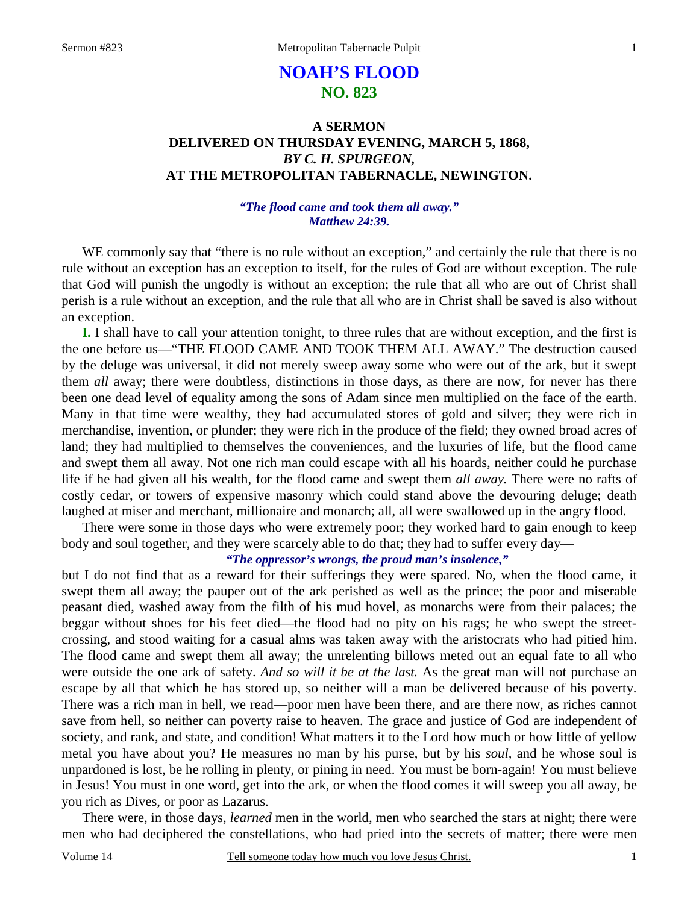#### 1

# **NOAH'S FLOOD NO. 823**

# **A SERMON DELIVERED ON THURSDAY EVENING, MARCH 5, 1868,**  *BY C. H. SPURGEON,*  **AT THE METROPOLITAN TABERNACLE, NEWINGTON.**

### *"The flood came and took them all away." Matthew 24:39.*

WE commonly say that "there is no rule without an exception," and certainly the rule that there is no rule without an exception has an exception to itself, for the rules of God are without exception. The rule that God will punish the ungodly is without an exception; the rule that all who are out of Christ shall perish is a rule without an exception, and the rule that all who are in Christ shall be saved is also without an exception.

**I.** I shall have to call your attention tonight, to three rules that are without exception, and the first is the one before us—"THE FLOOD CAME AND TOOK THEM ALL AWAY." The destruction caused by the deluge was universal, it did not merely sweep away some who were out of the ark, but it swept them *all* away; there were doubtless, distinctions in those days, as there are now, for never has there been one dead level of equality among the sons of Adam since men multiplied on the face of the earth. Many in that time were wealthy, they had accumulated stores of gold and silver; they were rich in merchandise, invention, or plunder; they were rich in the produce of the field; they owned broad acres of land; they had multiplied to themselves the conveniences, and the luxuries of life, but the flood came and swept them all away. Not one rich man could escape with all his hoards, neither could he purchase life if he had given all his wealth, for the flood came and swept them *all away.* There were no rafts of costly cedar, or towers of expensive masonry which could stand above the devouring deluge; death laughed at miser and merchant, millionaire and monarch; all, all were swallowed up in the angry flood.

There were some in those days who were extremely poor; they worked hard to gain enough to keep body and soul together, and they were scarcely able to do that; they had to suffer every day—

## *"The oppressor's wrongs, the proud man's insolence,"*

but I do not find that as a reward for their sufferings they were spared. No, when the flood came, it swept them all away; the pauper out of the ark perished as well as the prince; the poor and miserable peasant died, washed away from the filth of his mud hovel, as monarchs were from their palaces; the beggar without shoes for his feet died—the flood had no pity on his rags; he who swept the streetcrossing, and stood waiting for a casual alms was taken away with the aristocrats who had pitied him. The flood came and swept them all away; the unrelenting billows meted out an equal fate to all who were outside the one ark of safety. *And so will it be at the last.* As the great man will not purchase an escape by all that which he has stored up, so neither will a man be delivered because of his poverty. There was a rich man in hell, we read—poor men have been there, and are there now, as riches cannot save from hell, so neither can poverty raise to heaven. The grace and justice of God are independent of society, and rank, and state, and condition! What matters it to the Lord how much or how little of yellow metal you have about you? He measures no man by his purse, but by his *soul,* and he whose soul is unpardoned is lost, be he rolling in plenty, or pining in need. You must be born-again! You must believe in Jesus! You must in one word, get into the ark, or when the flood comes it will sweep you all away, be you rich as Dives, or poor as Lazarus.

 There were, in those days, *learned* men in the world, men who searched the stars at night; there were men who had deciphered the constellations, who had pried into the secrets of matter; there were men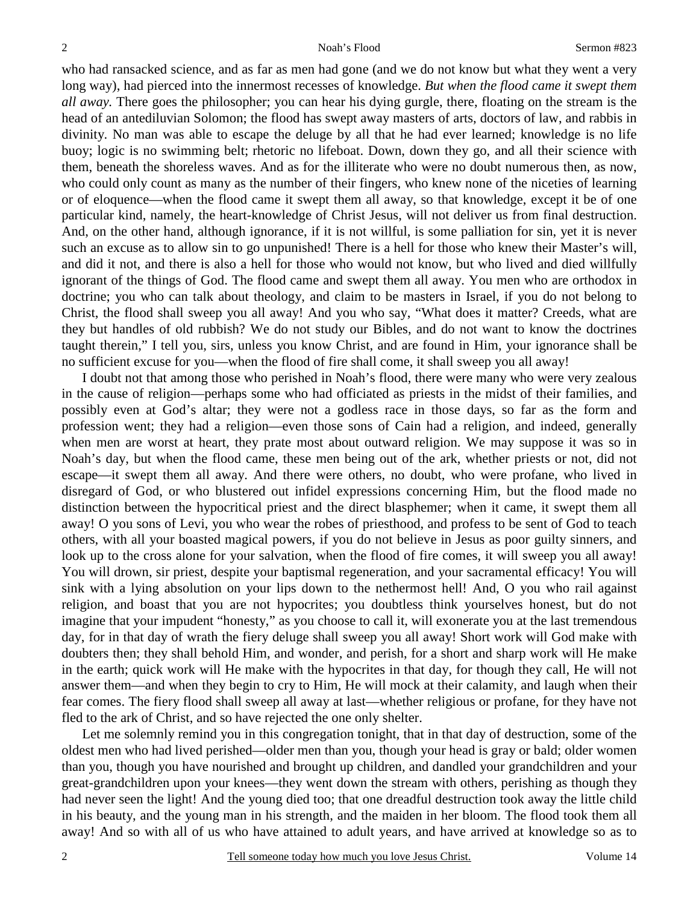who had ransacked science, and as far as men had gone (and we do not know but what they went a very long way), had pierced into the innermost recesses of knowledge. *But when the flood came it swept them all away.* There goes the philosopher; you can hear his dying gurgle, there, floating on the stream is the head of an antediluvian Solomon; the flood has swept away masters of arts, doctors of law, and rabbis in divinity. No man was able to escape the deluge by all that he had ever learned; knowledge is no life buoy; logic is no swimming belt; rhetoric no lifeboat. Down, down they go, and all their science with them, beneath the shoreless waves. And as for the illiterate who were no doubt numerous then, as now, who could only count as many as the number of their fingers, who knew none of the niceties of learning or of eloquence—when the flood came it swept them all away, so that knowledge, except it be of one particular kind, namely, the heart-knowledge of Christ Jesus, will not deliver us from final destruction. And, on the other hand, although ignorance, if it is not willful, is some palliation for sin, yet it is never such an excuse as to allow sin to go unpunished! There is a hell for those who knew their Master's will, and did it not, and there is also a hell for those who would not know, but who lived and died willfully ignorant of the things of God. The flood came and swept them all away. You men who are orthodox in doctrine; you who can talk about theology, and claim to be masters in Israel, if you do not belong to Christ, the flood shall sweep you all away! And you who say, "What does it matter? Creeds, what are they but handles of old rubbish? We do not study our Bibles, and do not want to know the doctrines taught therein," I tell you, sirs, unless you know Christ, and are found in Him, your ignorance shall be no sufficient excuse for you—when the flood of fire shall come, it shall sweep you all away!

 I doubt not that among those who perished in Noah's flood, there were many who were very zealous in the cause of religion—perhaps some who had officiated as priests in the midst of their families, and possibly even at God's altar; they were not a godless race in those days, so far as the form and profession went; they had a religion—even those sons of Cain had a religion, and indeed, generally when men are worst at heart, they prate most about outward religion. We may suppose it was so in Noah's day, but when the flood came, these men being out of the ark, whether priests or not, did not escape—it swept them all away. And there were others, no doubt, who were profane, who lived in disregard of God, or who blustered out infidel expressions concerning Him, but the flood made no distinction between the hypocritical priest and the direct blasphemer; when it came, it swept them all away! O you sons of Levi, you who wear the robes of priesthood, and profess to be sent of God to teach others, with all your boasted magical powers, if you do not believe in Jesus as poor guilty sinners, and look up to the cross alone for your salvation, when the flood of fire comes, it will sweep you all away! You will drown, sir priest, despite your baptismal regeneration, and your sacramental efficacy! You will sink with a lying absolution on your lips down to the nethermost hell! And, O you who rail against religion, and boast that you are not hypocrites; you doubtless think yourselves honest, but do not imagine that your impudent "honesty," as you choose to call it, will exonerate you at the last tremendous day, for in that day of wrath the fiery deluge shall sweep you all away! Short work will God make with doubters then; they shall behold Him, and wonder, and perish, for a short and sharp work will He make in the earth; quick work will He make with the hypocrites in that day, for though they call, He will not answer them—and when they begin to cry to Him, He will mock at their calamity, and laugh when their fear comes. The fiery flood shall sweep all away at last—whether religious or profane, for they have not fled to the ark of Christ, and so have rejected the one only shelter.

 Let me solemnly remind you in this congregation tonight, that in that day of destruction, some of the oldest men who had lived perished—older men than you, though your head is gray or bald; older women than you, though you have nourished and brought up children, and dandled your grandchildren and your great-grandchildren upon your knees—they went down the stream with others, perishing as though they had never seen the light! And the young died too; that one dreadful destruction took away the little child in his beauty, and the young man in his strength, and the maiden in her bloom. The flood took them all away! And so with all of us who have attained to adult years, and have arrived at knowledge so as to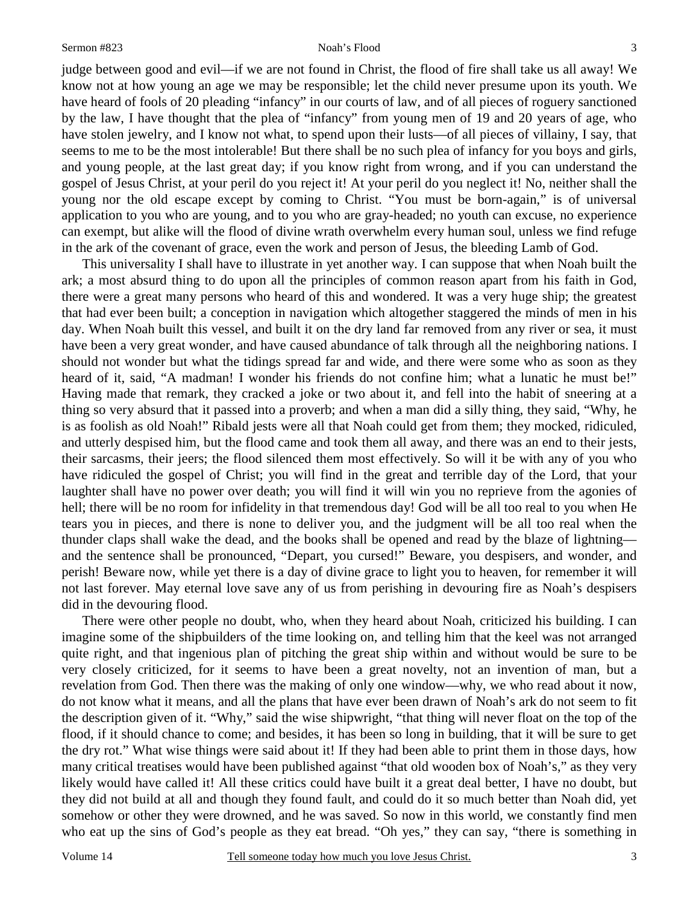judge between good and evil—if we are not found in Christ, the flood of fire shall take us all away! We know not at how young an age we may be responsible; let the child never presume upon its youth. We have heard of fools of 20 pleading "infancy" in our courts of law, and of all pieces of roguery sanctioned by the law, I have thought that the plea of "infancy" from young men of 19 and 20 years of age, who have stolen jewelry, and I know not what, to spend upon their lusts—of all pieces of villainy, I say, that seems to me to be the most intolerable! But there shall be no such plea of infancy for you boys and girls, and young people, at the last great day; if you know right from wrong, and if you can understand the gospel of Jesus Christ, at your peril do you reject it! At your peril do you neglect it! No, neither shall the young nor the old escape except by coming to Christ. "You must be born-again," is of universal application to you who are young, and to you who are gray-headed; no youth can excuse, no experience can exempt, but alike will the flood of divine wrath overwhelm every human soul, unless we find refuge in the ark of the covenant of grace, even the work and person of Jesus, the bleeding Lamb of God.

 This universality I shall have to illustrate in yet another way. I can suppose that when Noah built the ark; a most absurd thing to do upon all the principles of common reason apart from his faith in God, there were a great many persons who heard of this and wondered. It was a very huge ship; the greatest that had ever been built; a conception in navigation which altogether staggered the minds of men in his day. When Noah built this vessel, and built it on the dry land far removed from any river or sea, it must have been a very great wonder, and have caused abundance of talk through all the neighboring nations. I should not wonder but what the tidings spread far and wide, and there were some who as soon as they heard of it, said, "A madman! I wonder his friends do not confine him; what a lunatic he must be!" Having made that remark, they cracked a joke or two about it, and fell into the habit of sneering at a thing so very absurd that it passed into a proverb; and when a man did a silly thing, they said, "Why, he is as foolish as old Noah!" Ribald jests were all that Noah could get from them; they mocked, ridiculed, and utterly despised him, but the flood came and took them all away, and there was an end to their jests, their sarcasms, their jeers; the flood silenced them most effectively. So will it be with any of you who have ridiculed the gospel of Christ; you will find in the great and terrible day of the Lord, that your laughter shall have no power over death; you will find it will win you no reprieve from the agonies of hell; there will be no room for infidelity in that tremendous day! God will be all too real to you when He tears you in pieces, and there is none to deliver you, and the judgment will be all too real when the thunder claps shall wake the dead, and the books shall be opened and read by the blaze of lightning and the sentence shall be pronounced, "Depart, you cursed!" Beware, you despisers, and wonder, and perish! Beware now, while yet there is a day of divine grace to light you to heaven, for remember it will not last forever. May eternal love save any of us from perishing in devouring fire as Noah's despisers did in the devouring flood.

 There were other people no doubt, who, when they heard about Noah, criticized his building. I can imagine some of the shipbuilders of the time looking on, and telling him that the keel was not arranged quite right, and that ingenious plan of pitching the great ship within and without would be sure to be very closely criticized, for it seems to have been a great novelty, not an invention of man, but a revelation from God. Then there was the making of only one window—why, we who read about it now, do not know what it means, and all the plans that have ever been drawn of Noah's ark do not seem to fit the description given of it. "Why," said the wise shipwright, "that thing will never float on the top of the flood, if it should chance to come; and besides, it has been so long in building, that it will be sure to get the dry rot." What wise things were said about it! If they had been able to print them in those days, how many critical treatises would have been published against "that old wooden box of Noah's," as they very likely would have called it! All these critics could have built it a great deal better, I have no doubt, but they did not build at all and though they found fault, and could do it so much better than Noah did, yet somehow or other they were drowned, and he was saved. So now in this world, we constantly find men who eat up the sins of God's people as they eat bread. "Oh yes," they can say, "there is something in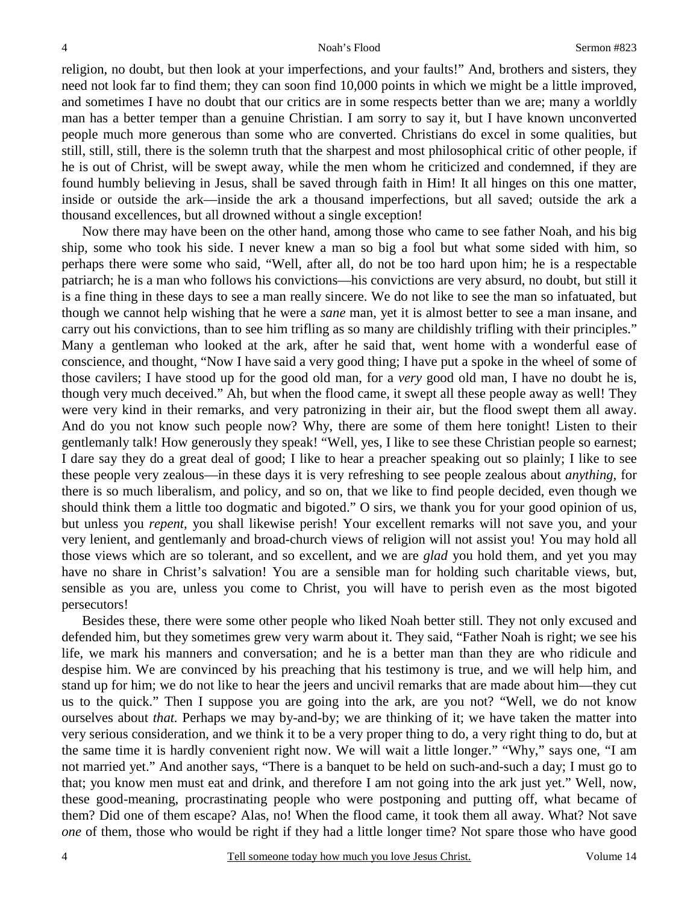religion, no doubt, but then look at your imperfections, and your faults!" And, brothers and sisters, they need not look far to find them; they can soon find 10,000 points in which we might be a little improved, and sometimes I have no doubt that our critics are in some respects better than we are; many a worldly man has a better temper than a genuine Christian. I am sorry to say it, but I have known unconverted people much more generous than some who are converted. Christians do excel in some qualities, but still, still, still, there is the solemn truth that the sharpest and most philosophical critic of other people, if he is out of Christ, will be swept away, while the men whom he criticized and condemned, if they are found humbly believing in Jesus, shall be saved through faith in Him! It all hinges on this one matter, inside or outside the ark—inside the ark a thousand imperfections, but all saved; outside the ark a thousand excellences, but all drowned without a single exception!

 Now there may have been on the other hand, among those who came to see father Noah, and his big ship, some who took his side. I never knew a man so big a fool but what some sided with him, so perhaps there were some who said, "Well, after all, do not be too hard upon him; he is a respectable patriarch; he is a man who follows his convictions—his convictions are very absurd, no doubt, but still it is a fine thing in these days to see a man really sincere. We do not like to see the man so infatuated, but though we cannot help wishing that he were a *sane* man, yet it is almost better to see a man insane, and carry out his convictions, than to see him trifling as so many are childishly trifling with their principles." Many a gentleman who looked at the ark, after he said that, went home with a wonderful ease of conscience, and thought, "Now I have said a very good thing; I have put a spoke in the wheel of some of those cavilers; I have stood up for the good old man, for a *very* good old man, I have no doubt he is, though very much deceived." Ah, but when the flood came, it swept all these people away as well! They were very kind in their remarks, and very patronizing in their air, but the flood swept them all away. And do you not know such people now? Why, there are some of them here tonight! Listen to their gentlemanly talk! How generously they speak! "Well, yes, I like to see these Christian people so earnest; I dare say they do a great deal of good; I like to hear a preacher speaking out so plainly; I like to see these people very zealous—in these days it is very refreshing to see people zealous about *anything*, for there is so much liberalism, and policy, and so on, that we like to find people decided, even though we should think them a little too dogmatic and bigoted." O sirs, we thank you for your good opinion of us, but unless you *repent,* you shall likewise perish! Your excellent remarks will not save you, and your very lenient, and gentlemanly and broad-church views of religion will not assist you! You may hold all those views which are so tolerant, and so excellent, and we are *glad* you hold them, and yet you may have no share in Christ's salvation! You are a sensible man for holding such charitable views, but, sensible as you are, unless you come to Christ, you will have to perish even as the most bigoted persecutors!

 Besides these, there were some other people who liked Noah better still. They not only excused and defended him, but they sometimes grew very warm about it. They said, "Father Noah is right; we see his life, we mark his manners and conversation; and he is a better man than they are who ridicule and despise him. We are convinced by his preaching that his testimony is true, and we will help him, and stand up for him; we do not like to hear the jeers and uncivil remarks that are made about him—they cut us to the quick." Then I suppose you are going into the ark, are you not? "Well, we do not know ourselves about *that.* Perhaps we may by-and-by; we are thinking of it; we have taken the matter into very serious consideration, and we think it to be a very proper thing to do, a very right thing to do, but at the same time it is hardly convenient right now. We will wait a little longer." "Why," says one, "I am not married yet." And another says, "There is a banquet to be held on such-and-such a day; I must go to that; you know men must eat and drink, and therefore I am not going into the ark just yet." Well, now, these good-meaning, procrastinating people who were postponing and putting off, what became of them? Did one of them escape? Alas, no! When the flood came, it took them all away. What? Not save *one* of them, those who would be right if they had a little longer time? Not spare those who have good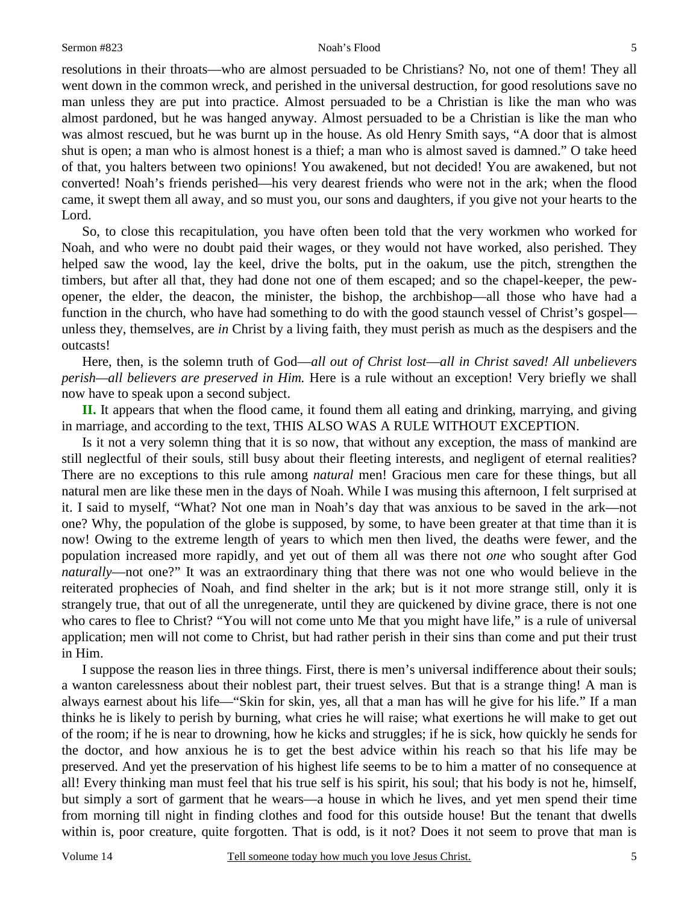#### Sermon #823 Noah's Flood

resolutions in their throats—who are almost persuaded to be Christians? No, not one of them! They all went down in the common wreck, and perished in the universal destruction, for good resolutions save no man unless they are put into practice. Almost persuaded to be a Christian is like the man who was almost pardoned, but he was hanged anyway. Almost persuaded to be a Christian is like the man who was almost rescued, but he was burnt up in the house. As old Henry Smith says, "A door that is almost shut is open; a man who is almost honest is a thief; a man who is almost saved is damned." O take heed of that, you halters between two opinions! You awakened, but not decided! You are awakened, but not converted! Noah's friends perished—his very dearest friends who were not in the ark; when the flood came, it swept them all away, and so must you, our sons and daughters, if you give not your hearts to the Lord.

 So, to close this recapitulation, you have often been told that the very workmen who worked for Noah, and who were no doubt paid their wages, or they would not have worked, also perished. They helped saw the wood, lay the keel, drive the bolts, put in the oakum, use the pitch, strengthen the timbers, but after all that, they had done not one of them escaped; and so the chapel-keeper, the pewopener, the elder, the deacon, the minister, the bishop, the archbishop—all those who have had a function in the church, who have had something to do with the good staunch vessel of Christ's gospel unless they, themselves, are *in* Christ by a living faith, they must perish as much as the despisers and the outcasts!

 Here, then, is the solemn truth of God—*all out of Christ lost*—*all in Christ saved! All unbelievers perish—all believers are preserved in Him.* Here is a rule without an exception! Very briefly we shall now have to speak upon a second subject.

**II.** It appears that when the flood came, it found them all eating and drinking, marrying, and giving in marriage, and according to the text, THIS ALSO WAS A RULE WITHOUT EXCEPTION.

 Is it not a very solemn thing that it is so now, that without any exception, the mass of mankind are still neglectful of their souls, still busy about their fleeting interests, and negligent of eternal realities? There are no exceptions to this rule among *natural* men! Gracious men care for these things, but all natural men are like these men in the days of Noah. While I was musing this afternoon, I felt surprised at it. I said to myself, "What? Not one man in Noah's day that was anxious to be saved in the ark—not one? Why, the population of the globe is supposed, by some, to have been greater at that time than it is now! Owing to the extreme length of years to which men then lived, the deaths were fewer, and the population increased more rapidly, and yet out of them all was there not *one* who sought after God *naturally*—not one?" It was an extraordinary thing that there was not one who would believe in the reiterated prophecies of Noah, and find shelter in the ark; but is it not more strange still, only it is strangely true, that out of all the unregenerate, until they are quickened by divine grace, there is not one who cares to flee to Christ? "You will not come unto Me that you might have life," is a rule of universal application; men will not come to Christ, but had rather perish in their sins than come and put their trust in Him.

 I suppose the reason lies in three things. First, there is men's universal indifference about their souls; a wanton carelessness about their noblest part, their truest selves. But that is a strange thing! A man is always earnest about his life—"Skin for skin, yes, all that a man has will he give for his life." If a man thinks he is likely to perish by burning, what cries he will raise; what exertions he will make to get out of the room; if he is near to drowning, how he kicks and struggles; if he is sick, how quickly he sends for the doctor, and how anxious he is to get the best advice within his reach so that his life may be preserved. And yet the preservation of his highest life seems to be to him a matter of no consequence at all! Every thinking man must feel that his true self is his spirit, his soul; that his body is not he, himself, but simply a sort of garment that he wears—a house in which he lives, and yet men spend their time from morning till night in finding clothes and food for this outside house! But the tenant that dwells within is, poor creature, quite forgotten. That is odd, is it not? Does it not seem to prove that man is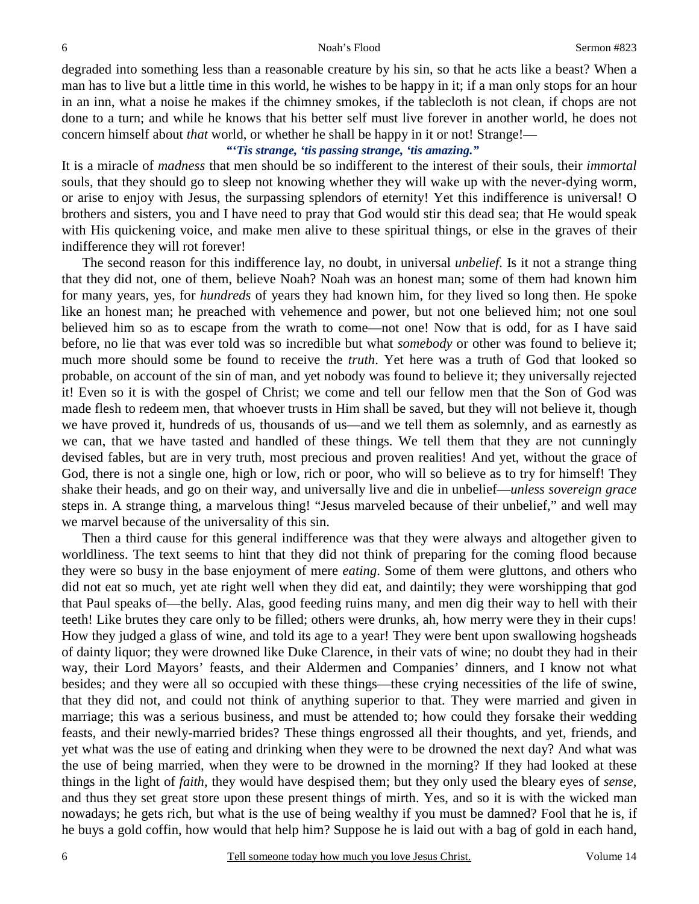degraded into something less than a reasonable creature by his sin, so that he acts like a beast? When a man has to live but a little time in this world, he wishes to be happy in it; if a man only stops for an hour in an inn, what a noise he makes if the chimney smokes, if the tablecloth is not clean, if chops are not done to a turn; and while he knows that his better self must live forever in another world, he does not concern himself about *that* world, or whether he shall be happy in it or not! Strange!—

### *"'Tis strange, 'tis passing strange, 'tis amazing."*

It is a miracle of *madness* that men should be so indifferent to the interest of their souls, their *immortal* souls, that they should go to sleep not knowing whether they will wake up with the never-dying worm, or arise to enjoy with Jesus, the surpassing splendors of eternity! Yet this indifference is universal! O brothers and sisters, you and I have need to pray that God would stir this dead sea; that He would speak with His quickening voice, and make men alive to these spiritual things, or else in the graves of their indifference they will rot forever!

 The second reason for this indifference lay, no doubt, in universal *unbelief*. Is it not a strange thing that they did not, one of them, believe Noah? Noah was an honest man; some of them had known him for many years, yes, for *hundreds* of years they had known him, for they lived so long then. He spoke like an honest man; he preached with vehemence and power, but not one believed him; not one soul believed him so as to escape from the wrath to come—not one! Now that is odd, for as I have said before, no lie that was ever told was so incredible but what *somebody* or other was found to believe it; much more should some be found to receive the *truth*. Yet here was a truth of God that looked so probable, on account of the sin of man, and yet nobody was found to believe it; they universally rejected it! Even so it is with the gospel of Christ; we come and tell our fellow men that the Son of God was made flesh to redeem men, that whoever trusts in Him shall be saved, but they will not believe it, though we have proved it, hundreds of us, thousands of us—and we tell them as solemnly, and as earnestly as we can, that we have tasted and handled of these things. We tell them that they are not cunningly devised fables, but are in very truth, most precious and proven realities! And yet, without the grace of God, there is not a single one, high or low, rich or poor, who will so believe as to try for himself! They shake their heads, and go on their way, and universally live and die in unbelief—*unless sovereign grace* steps in. A strange thing, a marvelous thing! "Jesus marveled because of their unbelief," and well may we marvel because of the universality of this sin.

 Then a third cause for this general indifference was that they were always and altogether given to worldliness. The text seems to hint that they did not think of preparing for the coming flood because they were so busy in the base enjoyment of mere *eating*. Some of them were gluttons, and others who did not eat so much, yet ate right well when they did eat, and daintily; they were worshipping that god that Paul speaks of—the belly. Alas, good feeding ruins many, and men dig their way to hell with their teeth! Like brutes they care only to be filled; others were drunks, ah, how merry were they in their cups! How they judged a glass of wine, and told its age to a year! They were bent upon swallowing hogsheads of dainty liquor; they were drowned like Duke Clarence, in their vats of wine; no doubt they had in their way, their Lord Mayors' feasts, and their Aldermen and Companies' dinners, and I know not what besides; and they were all so occupied with these things—these crying necessities of the life of swine, that they did not, and could not think of anything superior to that. They were married and given in marriage; this was a serious business, and must be attended to; how could they forsake their wedding feasts, and their newly-married brides? These things engrossed all their thoughts, and yet, friends, and yet what was the use of eating and drinking when they were to be drowned the next day? And what was the use of being married, when they were to be drowned in the morning? If they had looked at these things in the light of *faith*, they would have despised them; but they only used the bleary eyes of *sense,* and thus they set great store upon these present things of mirth. Yes, and so it is with the wicked man nowadays; he gets rich, but what is the use of being wealthy if you must be damned? Fool that he is, if he buys a gold coffin, how would that help him? Suppose he is laid out with a bag of gold in each hand,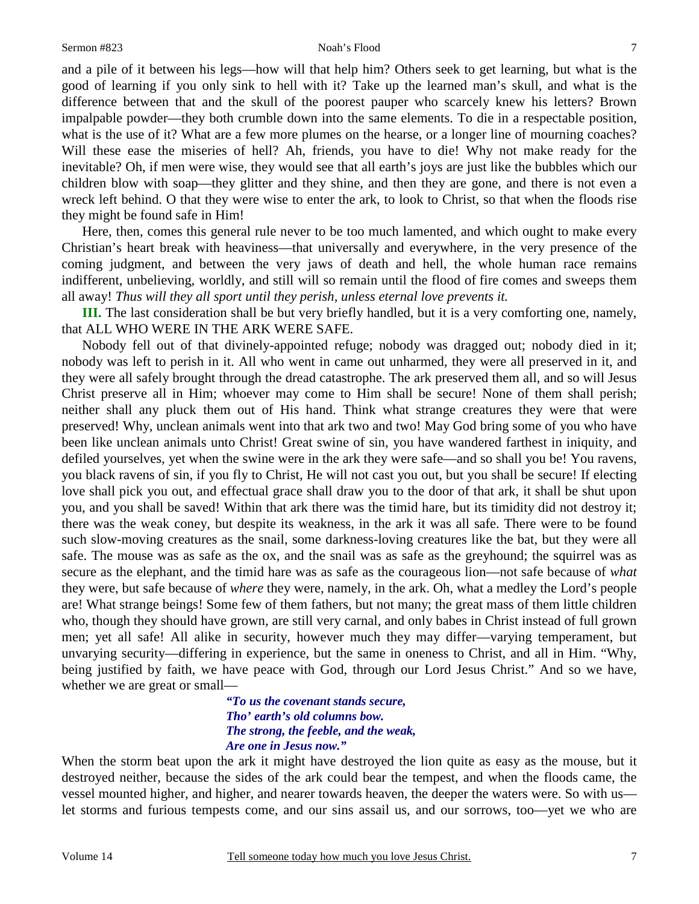and a pile of it between his legs—how will that help him? Others seek to get learning, but what is the good of learning if you only sink to hell with it? Take up the learned man's skull, and what is the difference between that and the skull of the poorest pauper who scarcely knew his letters? Brown impalpable powder—they both crumble down into the same elements. To die in a respectable position, what is the use of it? What are a few more plumes on the hearse, or a longer line of mourning coaches? Will these ease the miseries of hell? Ah, friends, you have to die! Why not make ready for the inevitable? Oh, if men were wise, they would see that all earth's joys are just like the bubbles which our children blow with soap—they glitter and they shine, and then they are gone, and there is not even a wreck left behind. O that they were wise to enter the ark, to look to Christ, so that when the floods rise they might be found safe in Him!

 Here, then, comes this general rule never to be too much lamented, and which ought to make every Christian's heart break with heaviness—that universally and everywhere, in the very presence of the coming judgment, and between the very jaws of death and hell, the whole human race remains indifferent, unbelieving, worldly, and still will so remain until the flood of fire comes and sweeps them all away! *Thus will they all sport until they perish, unless eternal love prevents it.*

**III.** The last consideration shall be but very briefly handled, but it is a very comforting one, namely, that ALL WHO WERE IN THE ARK WERE SAFE.

 Nobody fell out of that divinely-appointed refuge; nobody was dragged out; nobody died in it; nobody was left to perish in it. All who went in came out unharmed, they were all preserved in it, and they were all safely brought through the dread catastrophe. The ark preserved them all, and so will Jesus Christ preserve all in Him; whoever may come to Him shall be secure! None of them shall perish; neither shall any pluck them out of His hand. Think what strange creatures they were that were preserved! Why, unclean animals went into that ark two and two! May God bring some of you who have been like unclean animals unto Christ! Great swine of sin, you have wandered farthest in iniquity, and defiled yourselves, yet when the swine were in the ark they were safe—and so shall you be! You ravens, you black ravens of sin, if you fly to Christ, He will not cast you out, but you shall be secure! If electing love shall pick you out, and effectual grace shall draw you to the door of that ark, it shall be shut upon you, and you shall be saved! Within that ark there was the timid hare, but its timidity did not destroy it; there was the weak coney, but despite its weakness, in the ark it was all safe. There were to be found such slow-moving creatures as the snail, some darkness-loving creatures like the bat, but they were all safe. The mouse was as safe as the ox, and the snail was as safe as the greyhound; the squirrel was as secure as the elephant, and the timid hare was as safe as the courageous lion—not safe because of *what* they were, but safe because of *where* they were, namely, in the ark. Oh, what a medley the Lord's people are! What strange beings! Some few of them fathers, but not many; the great mass of them little children who, though they should have grown, are still very carnal, and only babes in Christ instead of full grown men; yet all safe! All alike in security, however much they may differ—varying temperament, but unvarying security—differing in experience, but the same in oneness to Christ, and all in Him. "Why, being justified by faith, we have peace with God, through our Lord Jesus Christ." And so we have, whether we are great or small-

> *"To us the covenant stands secure, Tho' earth's old columns bow. The strong, the feeble, and the weak, Are one in Jesus now."*

When the storm beat upon the ark it might have destroyed the lion quite as easy as the mouse, but it destroyed neither, because the sides of the ark could bear the tempest, and when the floods came, the vessel mounted higher, and higher, and nearer towards heaven, the deeper the waters were. So with us let storms and furious tempests come, and our sins assail us, and our sorrows, too—yet we who are